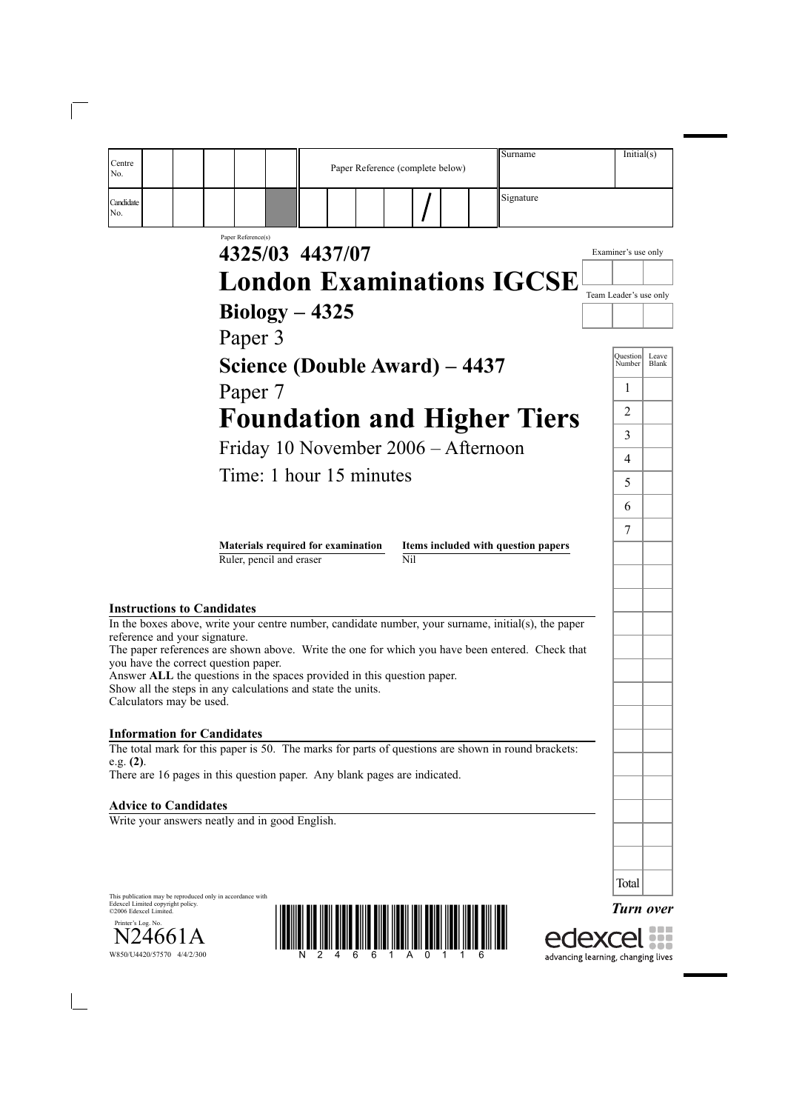| Centre<br>No.                     |                                                             |                                                                           | Paper Reference (complete below) | Surname                                                                                                                                                                                                | Initial(s)             |                |
|-----------------------------------|-------------------------------------------------------------|---------------------------------------------------------------------------|----------------------------------|--------------------------------------------------------------------------------------------------------------------------------------------------------------------------------------------------------|------------------------|----------------|
| Candidate<br>No.                  |                                                             |                                                                           |                                  | Signature                                                                                                                                                                                              |                        |                |
|                                   | Paper Reference(s)                                          | 4325/03 4437/07                                                           |                                  |                                                                                                                                                                                                        | Examiner's use only    |                |
|                                   |                                                             |                                                                           |                                  | <b>London Examinations IGCSE</b>                                                                                                                                                                       |                        |                |
|                                   | $Biology - 4325$                                            |                                                                           |                                  |                                                                                                                                                                                                        | Team Leader's use only |                |
|                                   | Paper 3                                                     |                                                                           |                                  |                                                                                                                                                                                                        |                        |                |
|                                   |                                                             | Science (Double Award) – 4437                                             |                                  |                                                                                                                                                                                                        | Question<br>Number     | Leave<br>Blank |
|                                   | Paper 7                                                     |                                                                           |                                  |                                                                                                                                                                                                        | 1                      |                |
|                                   |                                                             |                                                                           |                                  | <b>Foundation and Higher Tiers</b>                                                                                                                                                                     | $\overline{2}$         |                |
|                                   |                                                             | Friday 10 November 2006 – Afternoon                                       |                                  |                                                                                                                                                                                                        | $\overline{3}$         |                |
|                                   |                                                             | Time: 1 hour 15 minutes                                                   |                                  |                                                                                                                                                                                                        | 4<br>5                 |                |
|                                   |                                                             |                                                                           |                                  |                                                                                                                                                                                                        | 6                      |                |
|                                   |                                                             |                                                                           |                                  |                                                                                                                                                                                                        | 7                      |                |
|                                   | Ruler, pencil and eraser                                    | Materials required for examination                                        | $\overline{\text{Nil}}$          | Items included with question papers                                                                                                                                                                    |                        |                |
| <b>Instructions to Candidates</b> |                                                             |                                                                           |                                  |                                                                                                                                                                                                        |                        |                |
| reference and your signature.     | you have the correct question paper.                        |                                                                           |                                  | In the boxes above, write your centre number, candidate number, your surname, initial(s), the paper<br>The paper references are shown above. Write the one for which you have been entered. Check that |                        |                |
| Calculators may be used.          | Show all the steps in any calculations and state the units. | Answer ALL the questions in the spaces provided in this question paper.   |                                  |                                                                                                                                                                                                        |                        |                |
| <b>Information for Candidates</b> |                                                             |                                                                           |                                  |                                                                                                                                                                                                        |                        |                |
|                                   |                                                             |                                                                           |                                  | The total mark for this paper is 50. The marks for parts of questions are shown in round brackets:                                                                                                     |                        |                |
| e.g. $(2)$ .                      |                                                             | There are 16 pages in this question paper. Any blank pages are indicated. |                                  |                                                                                                                                                                                                        |                        |                |
| <b>Advice to Candidates</b>       |                                                             |                                                                           |                                  |                                                                                                                                                                                                        |                        |                |
|                                   | Write your answers neatly and in good English.              |                                                                           |                                  |                                                                                                                                                                                                        |                        |                |
|                                   |                                                             |                                                                           |                                  |                                                                                                                                                                                                        |                        |                |

W850/U4420/57570 4/4/2/300

 $\boxed{\phantom{1}}$ 

 $\sqrt{\phantom{a}}$ 

\*N24661A0116\* *Turn over*

Г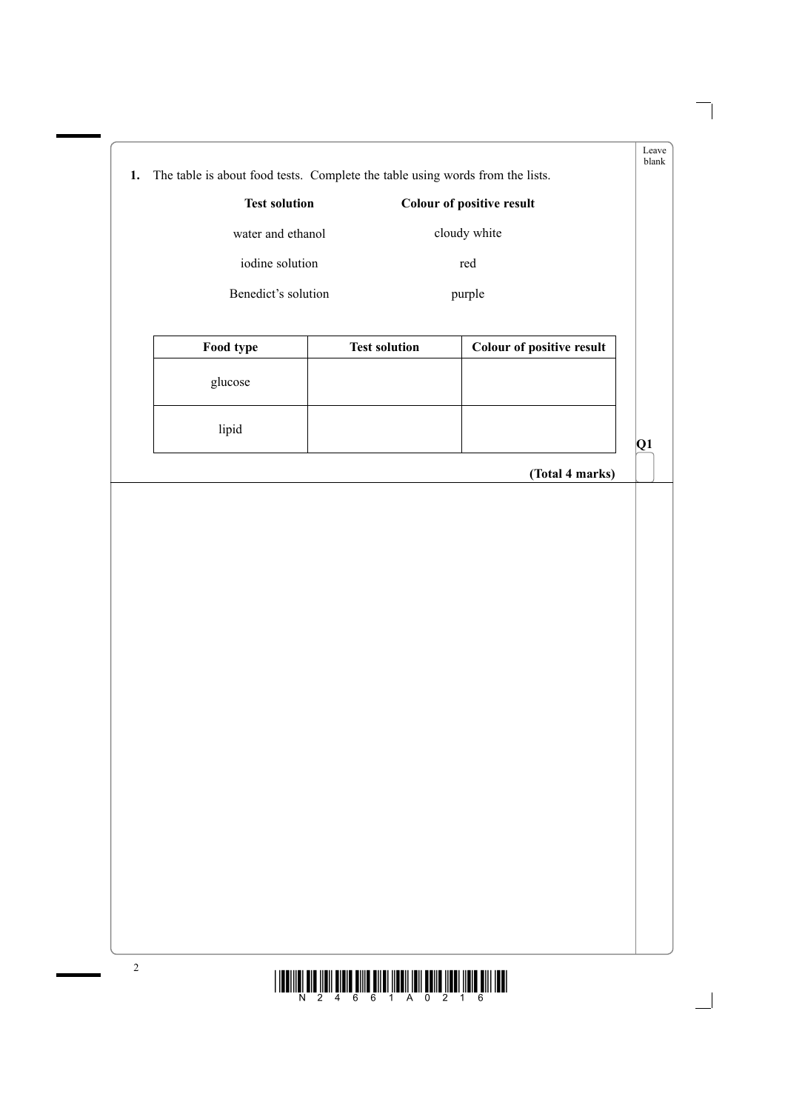| <b>Test solution</b> |                      | <b>Colour of positive result</b> |                                  |    |
|----------------------|----------------------|----------------------------------|----------------------------------|----|
| water and ethanol    |                      | cloudy white                     |                                  |    |
| iodine solution      |                      | red                              |                                  |    |
| Benedict's solution  |                      | purple                           |                                  |    |
|                      |                      |                                  |                                  |    |
| Food type            | <b>Test solution</b> |                                  | <b>Colour of positive result</b> |    |
| glucose              |                      |                                  |                                  |    |
| lipid                |                      |                                  |                                  |    |
|                      |                      |                                  | (Total 4 marks)                  | Q1 |
|                      |                      |                                  |                                  |    |
|                      |                      |                                  |                                  |    |
|                      |                      |                                  |                                  |    |
|                      |                      |                                  |                                  |    |
|                      |                      |                                  |                                  |    |
|                      |                      |                                  |                                  |    |
|                      |                      |                                  |                                  |    |
|                      |                      |                                  |                                  |    |
|                      |                      |                                  |                                  |    |
|                      |                      |                                  |                                  |    |
|                      |                      |                                  |                                  |    |
|                      |                      |                                  |                                  |    |
|                      |                      |                                  |                                  |    |
|                      |                      |                                  |                                  |    |
|                      |                      |                                  |                                  |    |
|                      |                      |                                  |                                  |    |
|                      |                      |                                  |                                  |    |
|                      |                      |                                  |                                  |    |
|                      |                      |                                  |                                  |    |
|                      |                      |                                  |                                  |    |
|                      |                      |                                  |                                  |    |

 $\blacksquare$ 

 $\overline{\phantom{0}}$ 

\*N24661A0216\*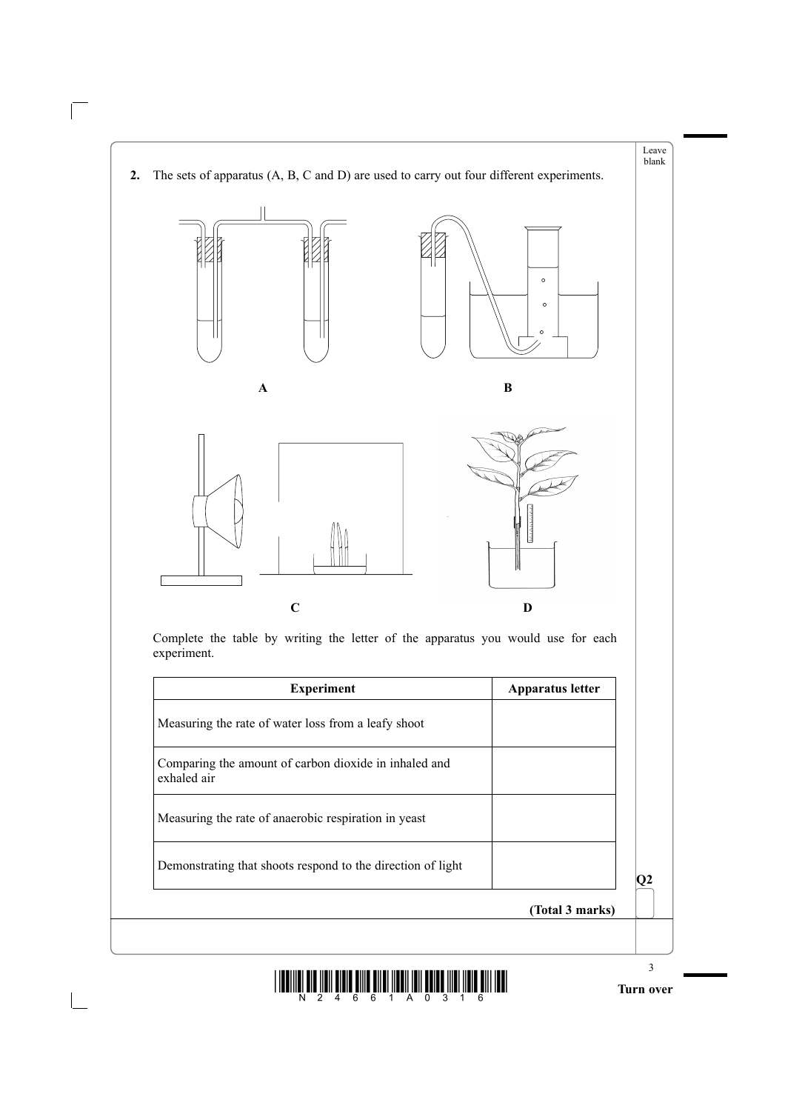

 $\mathbb{R}^n$ 

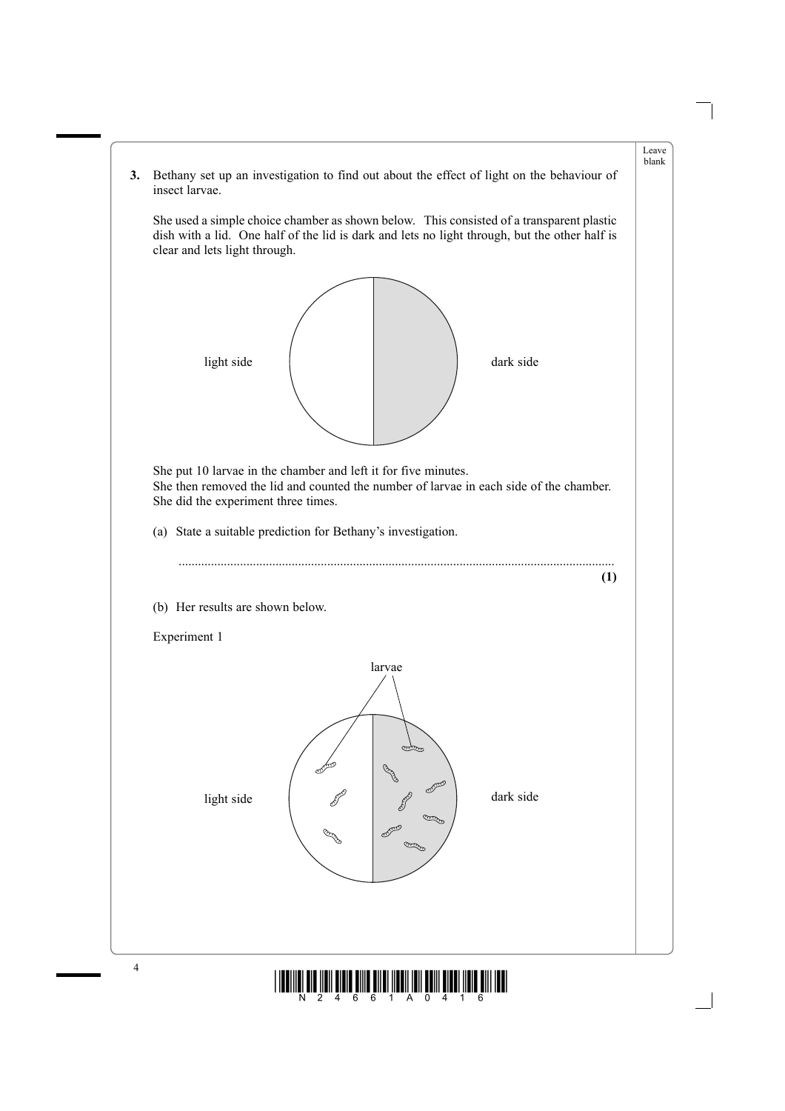

<u>|| ITTININ TITT<sup>3</sup>nin <sup>a</sup>nti <sup>e</sup>nin <sup>s</sup>inti ntun yan ami titu <sup>s</sup>ini nti</u>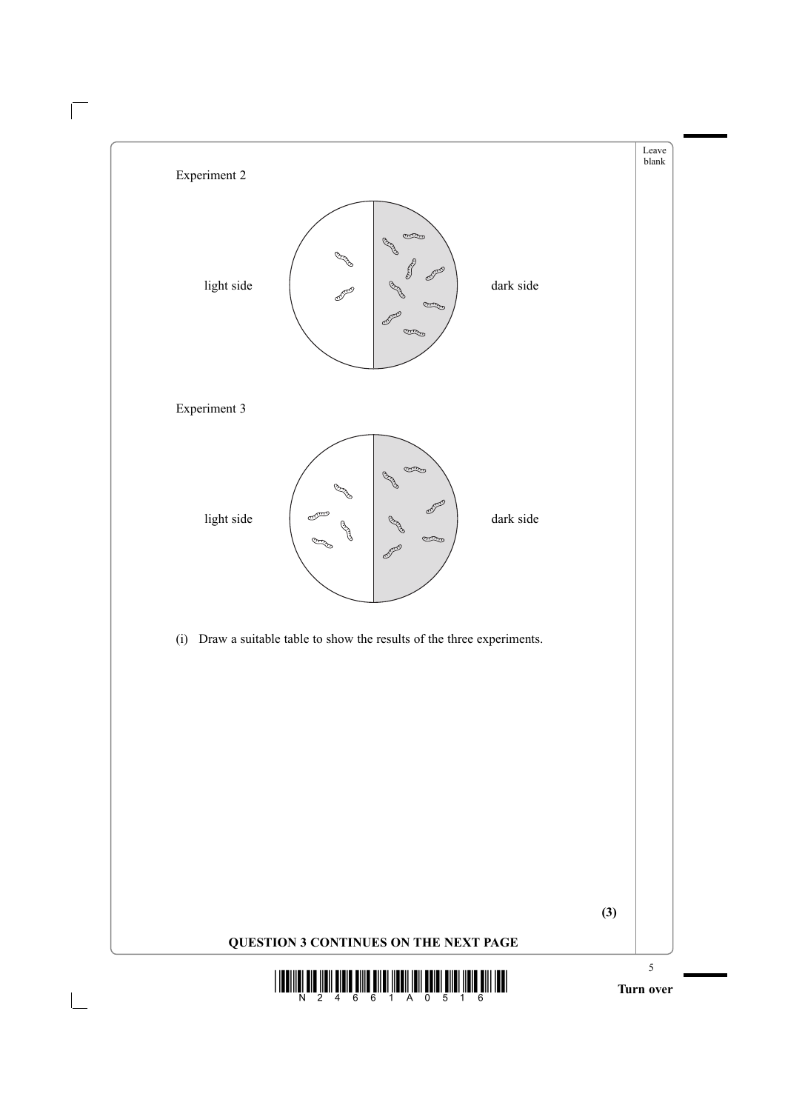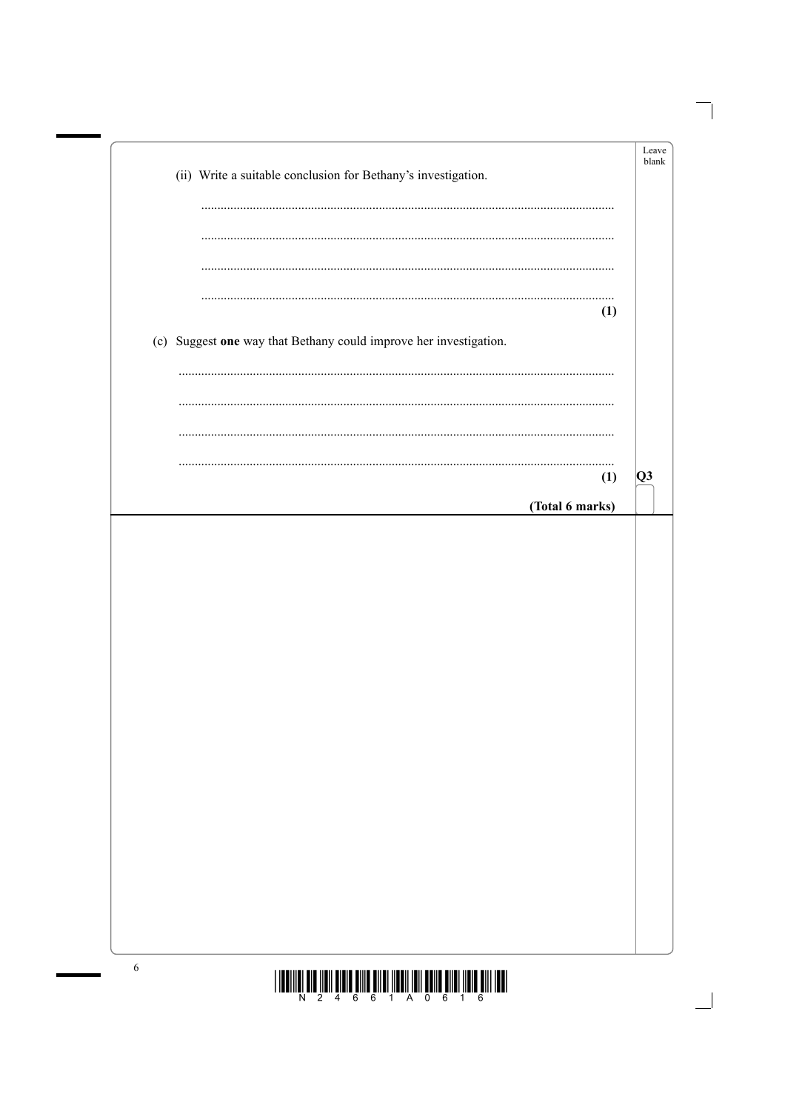| (ii) Write a suitable conclusion for Bethany's investigation.     | blank |
|-------------------------------------------------------------------|-------|
|                                                                   |       |
|                                                                   |       |
|                                                                   |       |
| (1)                                                               |       |
| (c) Suggest one way that Bethany could improve her investigation. |       |
|                                                                   |       |
|                                                                   |       |
|                                                                   |       |
|                                                                   | Q3    |
| (1)<br>(Total 6 marks)                                            |       |
|                                                                   |       |
|                                                                   |       |
|                                                                   |       |
|                                                                   |       |
|                                                                   |       |
|                                                                   |       |
|                                                                   |       |
|                                                                   |       |
|                                                                   |       |
|                                                                   |       |
|                                                                   |       |

 $\blacksquare$ 

 $\overline{\phantom{0}}$ 

 $\textstyle \frac{1}{2}\left\|\textstyle \prod_{i=1}^n \prod_{j=1}^n \prod_{j=1}^n \prod_{j=1}^n \prod_{j=1}^n \prod_{j=1}^n \prod_{j=1}^n \prod_{j=1}^n \prod_{j=1}^n \prod_{j=1}^n \prod_{j=1}^n \prod_{j=1}^n \prod_{j=1}^n \prod_{j=1}^n \prod_{j=1}^n \prod_{j=1}^n \prod_{j=1}^n \prod_{j=1}^n \prod_{j=1}^n \prod_{j=1}^n \prod_{j=1}^n \prod_{j=1}^n \prod_{j=1}$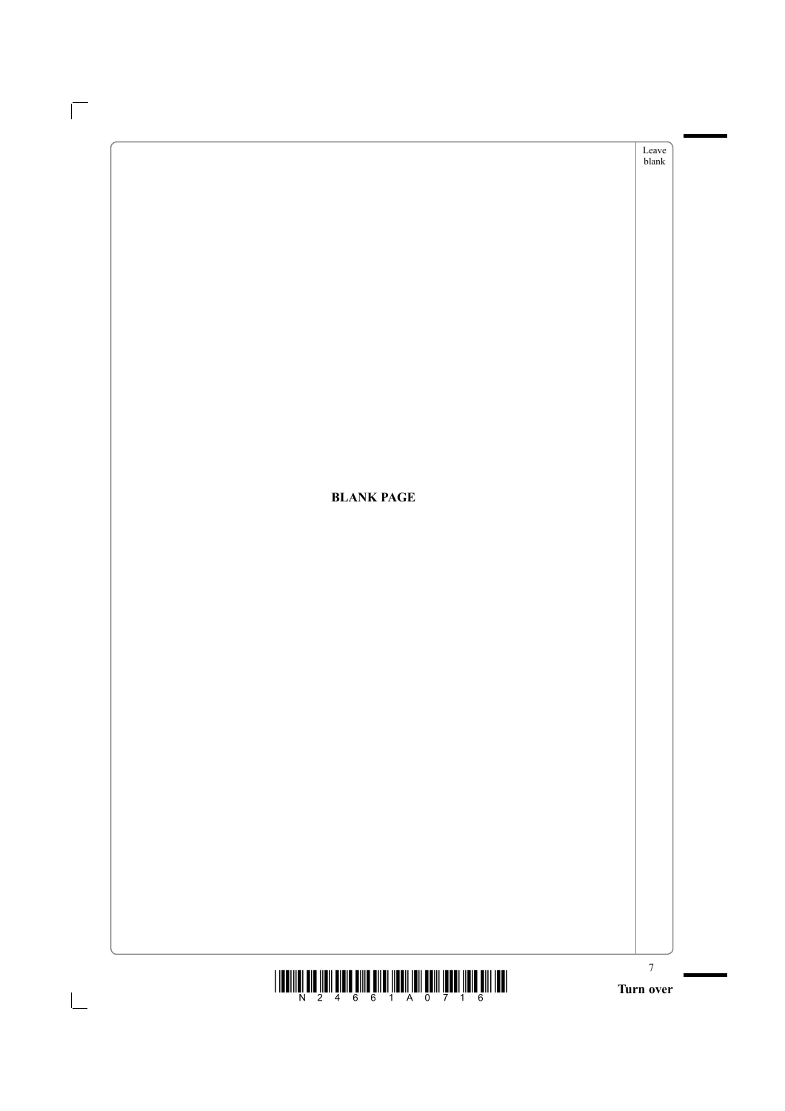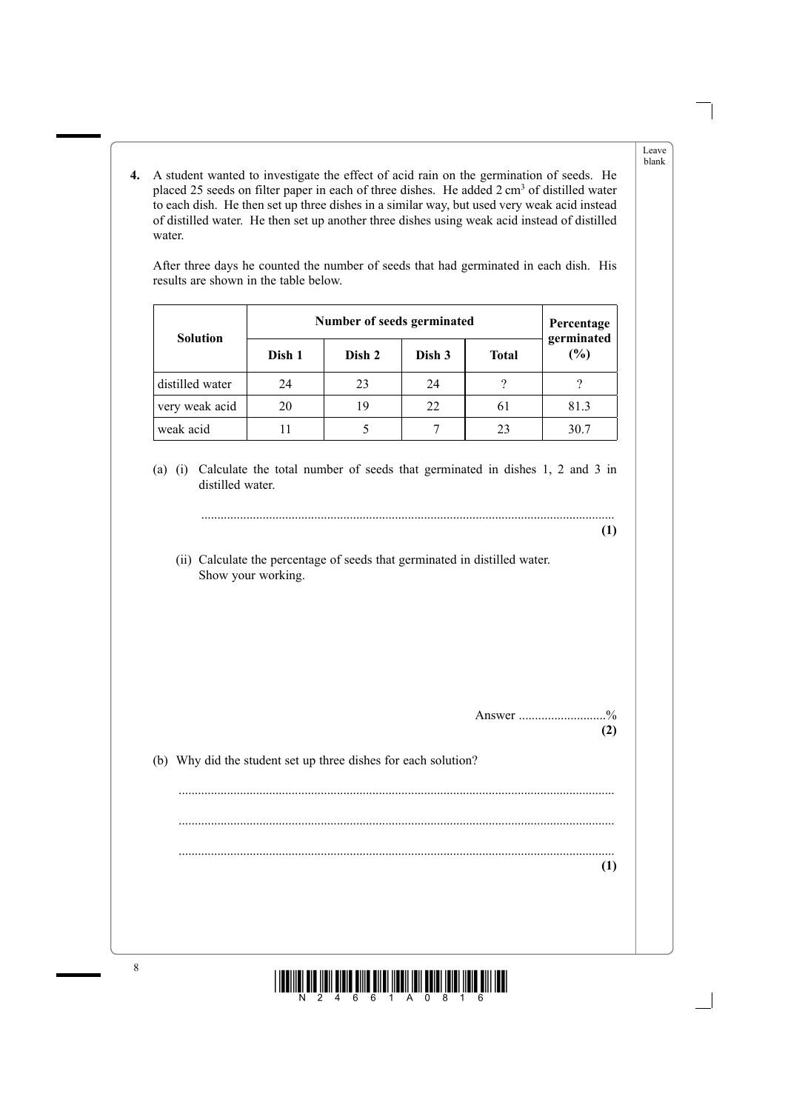**4.** A student wanted to investigate the effect of acid rain on the germination of seeds. He placed 25 seeds on filter paper in each of three dishes. He added 2 cm<sup>3</sup> of distilled water to each dish. He then set up three dishes in a similar way, but used very weak acid instead of distilled water. He then set up another three dishes using weak acid instead of distilled water.

 After three days he counted the number of seeds that had germinated in each dish. His results are shown in the table below.

| <b>Solution</b> |        | Number of seeds germinated |        |              | Percentage<br>germinated |  |
|-----------------|--------|----------------------------|--------|--------------|--------------------------|--|
|                 | Dish 1 | Dish 2                     | Dish 3 | <b>Total</b> | $(\%)$                   |  |
| distilled water | 24     | 23                         | 24     | റ            |                          |  |
| very weak acid  | 20     | 19                         | 22     | 61           | 81.3                     |  |
| weak acid       |        |                            |        | 23           | 30.7                     |  |

 (a) (i) Calculate the total number of seeds that germinated in dishes 1, 2 and 3 in distilled water.

 (ii) Calculate the percentage of seeds that germinated in distilled water. Show your working.

.......................................................................................................................................

.......................................................................................................................................

.......................................................................................................................................

................................................................................................................................

| Answer % |
|----------|
| (2)      |

**(1)**

**(1)**

(b) Why did the student set up three dishes for each solution?

\*N24661A0816\*

8

Leave blank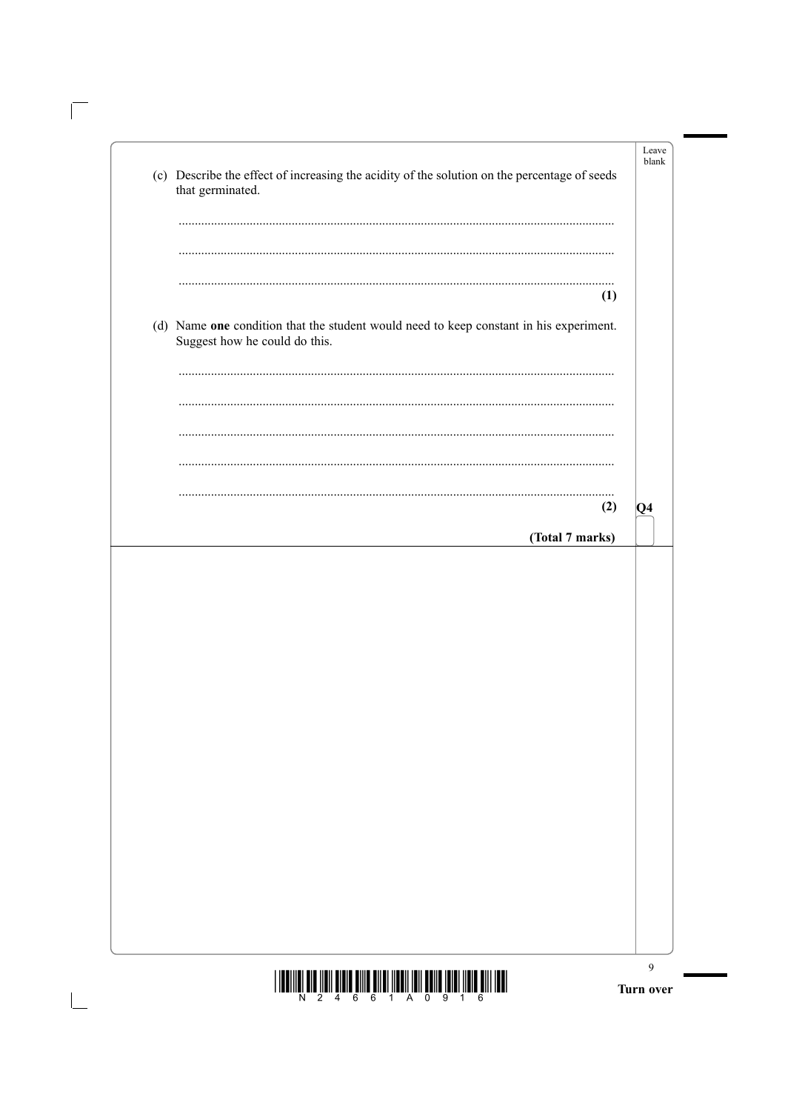| (c) Describe the effect of increasing the acidity of the solution on the percentage of seeds<br>that germinated.        | blank      |
|-------------------------------------------------------------------------------------------------------------------------|------------|
|                                                                                                                         |            |
|                                                                                                                         |            |
| (1)                                                                                                                     |            |
| (d) Name one condition that the student would need to keep constant in his experiment.<br>Suggest how he could do this. |            |
|                                                                                                                         |            |
|                                                                                                                         |            |
|                                                                                                                         |            |
|                                                                                                                         |            |
| (2)<br>(Total 7 marks)                                                                                                  | <b>O</b> 4 |
|                                                                                                                         |            |
|                                                                                                                         |            |
|                                                                                                                         |            |
|                                                                                                                         |            |
|                                                                                                                         |            |
|                                                                                                                         |            |
|                                                                                                                         |            |
|                                                                                                                         |            |
|                                                                                                                         |            |
|                                                                                                                         |            |
|                                                                                                                         |            |
|                                                                                                                         |            |

 $\sqrt{\phantom{a}}$ 

 $\begin{array}{c} \hline \end{array}$ 

Turn over

 $\blacksquare$ 

ı

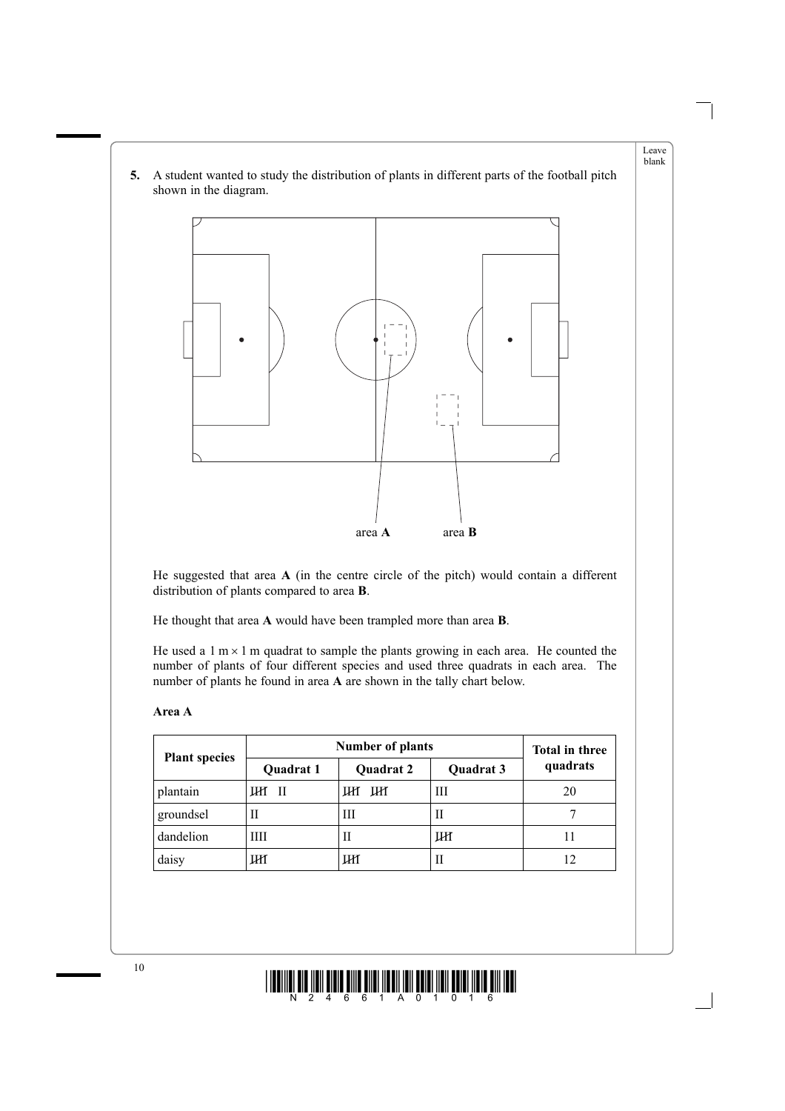

**5.** A student wanted to study the distribution of plants in different parts of the football pitch shown in the diagram.

Leave blank

 He suggested that area **A** (in the centre circle of the pitch) would contain a different distribution of plants compared to area **B**.

He thought that area **A** would have been trampled more than area **B**.

He used a  $1 \text{ m} \times 1 \text{ m}$  quadrat to sample the plants growing in each area. He counted the number of plants of four different species and used three quadrats in each area. The number of plants he found in area **A** are shown in the tally chart below.

## **Area A**

|                      | <b>Number of plants</b> | <b>Total in three</b> |           |          |
|----------------------|-------------------------|-----------------------|-----------|----------|
| <b>Plant species</b> | Quadrat 1               | Quadrat 2             | Quadrat 3 | quadrats |
| plantain             | - II                    | И И                   | Ш         | 20       |
| groundsel            | П                       | Ш                     | H         |          |
| dandelion            | Ш                       | Н                     | ИΚ        | 11       |
| daisy                | ИΚ                      | ИΚ                    | П         | 12       |

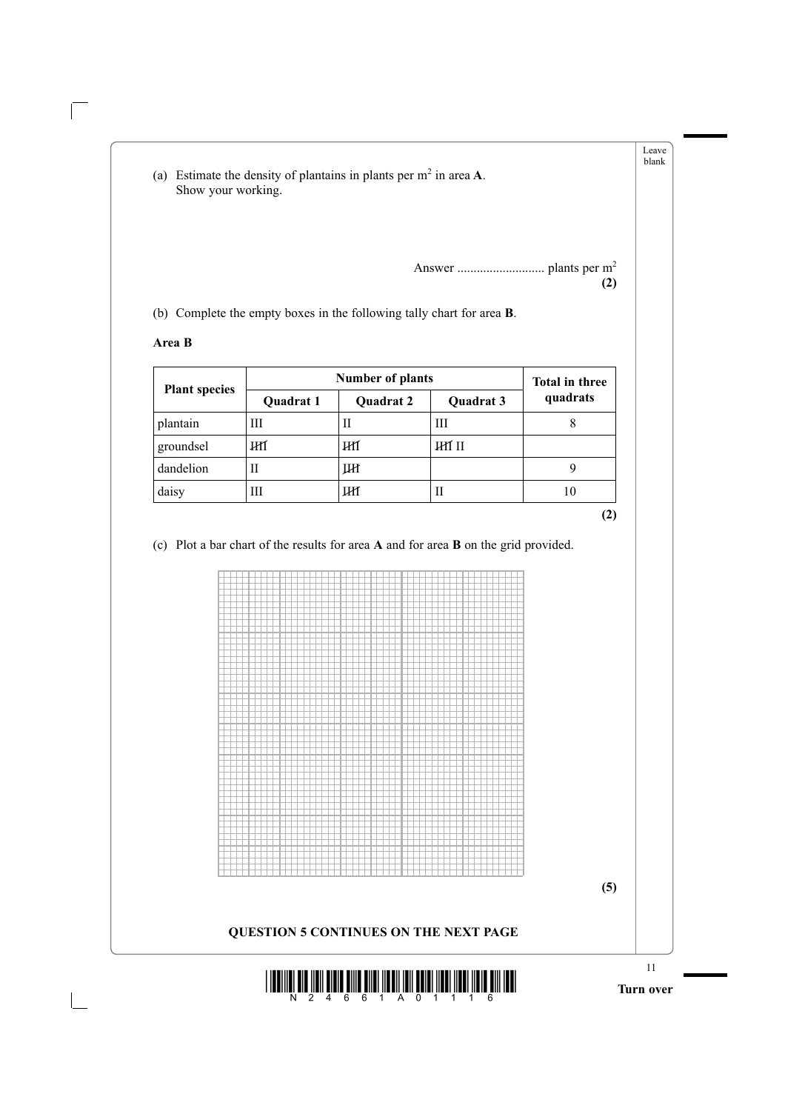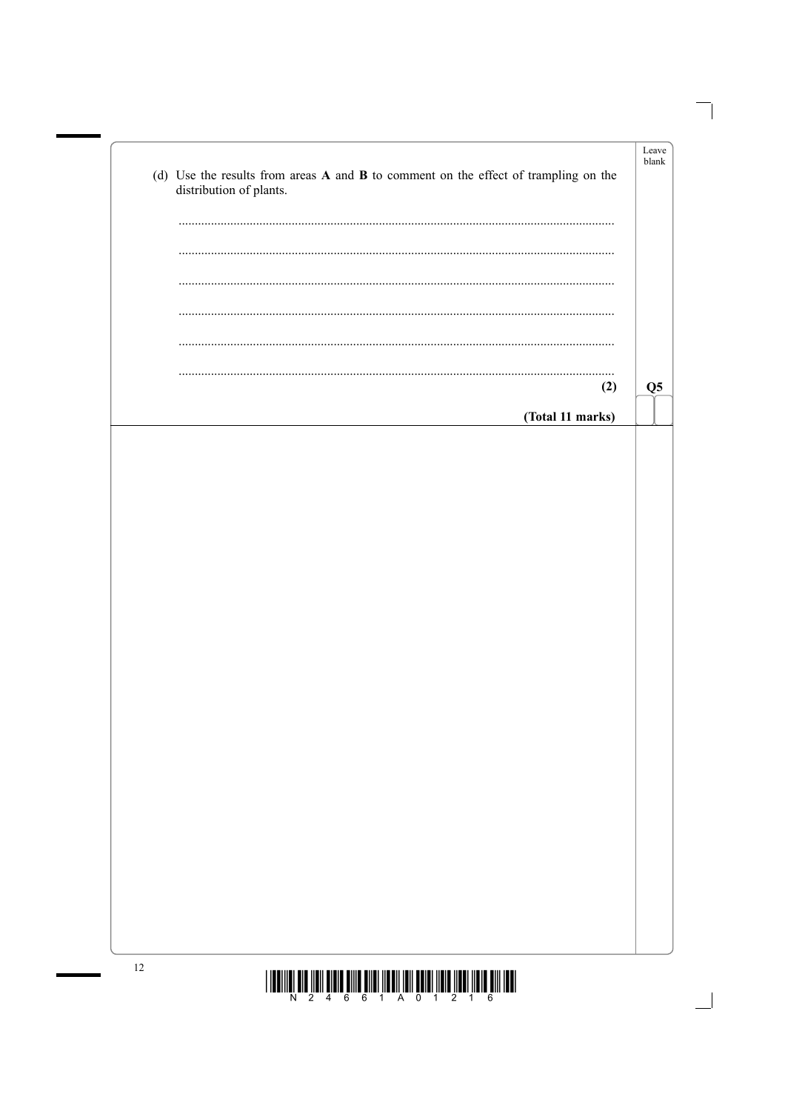| distribution of plants. |  |                       |
|-------------------------|--|-----------------------|
| .                       |  |                       |
| $\cdots$                |  |                       |
|                         |  |                       |
|                         |  |                       |
|                         |  |                       |
|                         |  | (2)<br>Q <sub>5</sub> |
|                         |  | (Total 11 marks)      |
|                         |  |                       |
|                         |  |                       |
|                         |  |                       |
|                         |  |                       |
|                         |  |                       |
|                         |  |                       |
|                         |  |                       |
|                         |  |                       |
|                         |  |                       |
|                         |  |                       |
|                         |  |                       |
|                         |  |                       |
|                         |  |                       |
|                         |  |                       |
|                         |  |                       |
|                         |  |                       |
|                         |  |                       |
|                         |  |                       |
|                         |  |                       |
|                         |  |                       |

 $\blacksquare$ 

 $\overline{\phantom{0}}$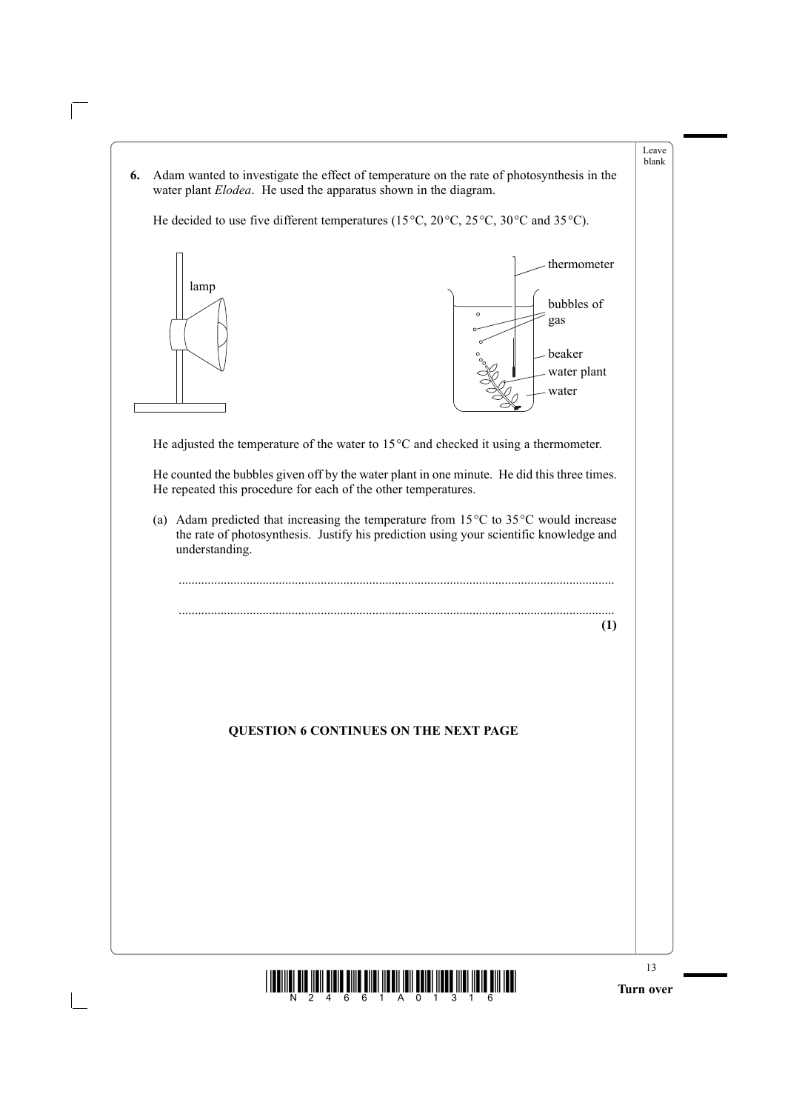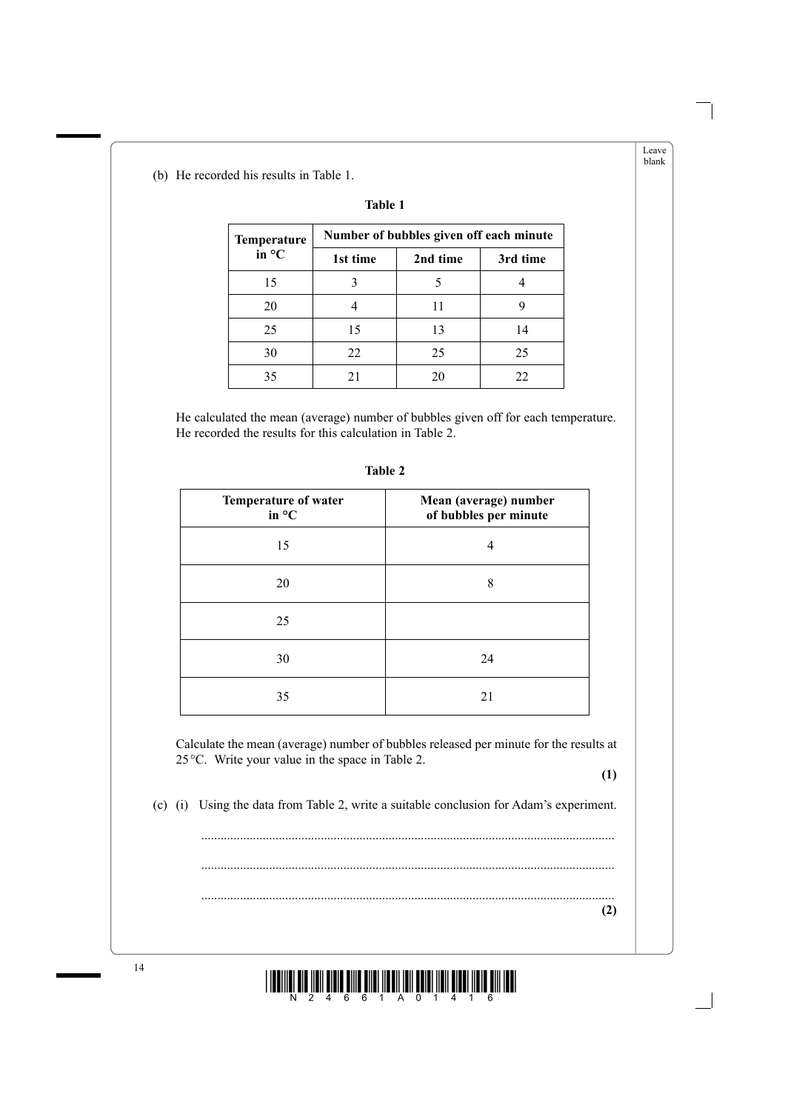Leave blank

(b) He recorded his results in Table 1.

## **Table 1**

| <b>Temperature</b> |          | Number of bubbles given off each minute |          |  |  |
|--------------------|----------|-----------------------------------------|----------|--|--|
| in $\mathrm{C}$    | 1st time | 2nd time                                | 3rd time |  |  |
| 15                 |          |                                         |          |  |  |
| 20                 |          | 11                                      |          |  |  |
| 25                 | 15       | 13                                      | 14       |  |  |
| 30                 | 22       | 25                                      | 25       |  |  |
| 35                 |          |                                         | 77       |  |  |

 He calculated the mean (average) number of bubbles given off for each temperature. He recorded the results for this calculation in Table 2.

**Table 2**

| <b>Temperature of water</b><br>in $\mathrm{C}$ | Mean (average) number<br>of bubbles per minute |
|------------------------------------------------|------------------------------------------------|
| 15                                             | 4                                              |
| 20                                             | 8                                              |
| 25                                             |                                                |
| 30                                             | 24                                             |
| 35                                             | 21                                             |

 Calculate the mean (average) number of bubbles released per minute for the results at 25°C. Write your value in the space in Table 2.

................................................................................................................................

**(1)**

(c) (i) Using the data from Table 2, write a suitable conclusion for Adam's experiment.

................................................................................................................................

................................................................................................................................

**(2)**

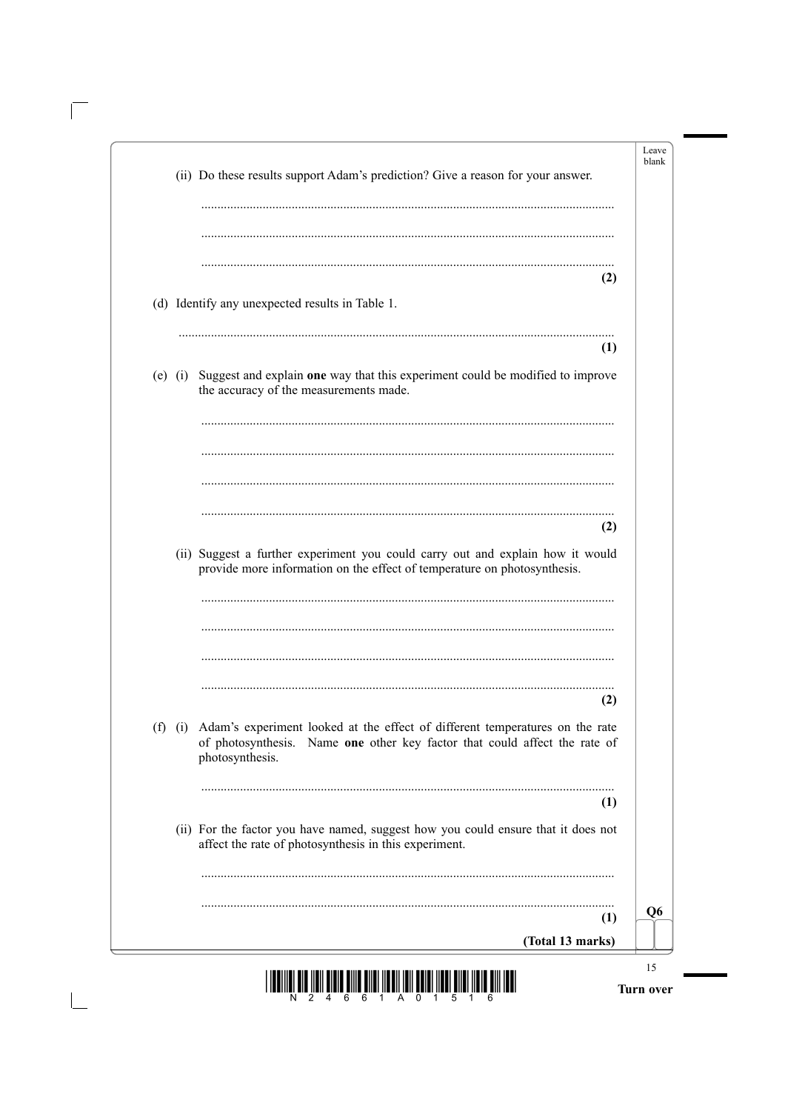|             | (ii) Do these results support Adam's prediction? Give a reason for your answer.                                                                                               |
|-------------|-------------------------------------------------------------------------------------------------------------------------------------------------------------------------------|
|             |                                                                                                                                                                               |
|             | (2)<br>(d) Identify any unexpected results in Table 1.                                                                                                                        |
|             |                                                                                                                                                                               |
|             | (1)                                                                                                                                                                           |
|             | (e) (i) Suggest and explain one way that this experiment could be modified to improve<br>the accuracy of the measurements made.                                               |
|             |                                                                                                                                                                               |
|             | (2)                                                                                                                                                                           |
|             |                                                                                                                                                                               |
|             | (ii) Suggest a further experiment you could carry out and explain how it would<br>provide more information on the effect of temperature on photosynthesis.                    |
|             |                                                                                                                                                                               |
|             | (2)                                                                                                                                                                           |
|             | Adam's experiment looked at the effect of different temperatures on the rate<br>of photosynthesis. Name one other key factor that could affect the rate of<br>photosynthesis. |
|             |                                                                                                                                                                               |
| $(f)$ $(i)$ | (1)<br>(ii) For the factor you have named, suggest how you could ensure that it does not<br>affect the rate of photosynthesis in this experiment.                             |
|             | (1)                                                                                                                                                                           |

 $\sqrt{\phantom{a}}$ 

 $\overline{\phantom{a}}$